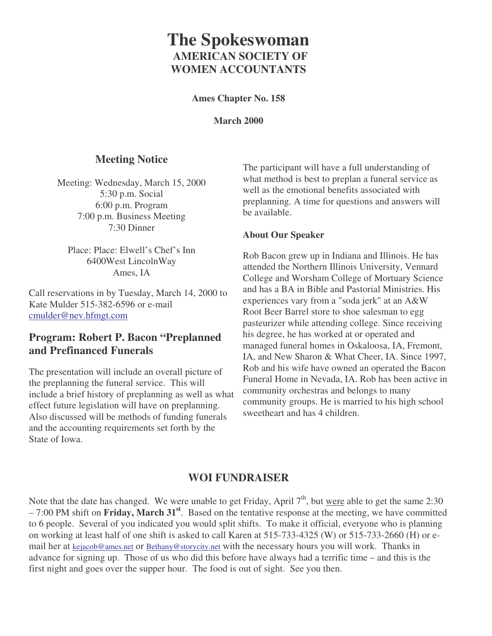# **The Spokeswoman AMERICAN SOCIETY OF WOMEN ACCOUNTANTS**

**Ames Chapter No. 158**

**March 2000**

# **Meeting Notice**

Meeting: Wednesday, March 15, 2000 5:30 p.m. Social 6:00 p.m. Program 7:00 p.m. Business Meeting 7:30 Dinner

Place: Place: Elwell's Chef's Inn 6400West LincolnWay Ames, IA

Call reservations in by Tuesday, March 14, 2000 to Kate Mulder 515-382-6596 or e-mail cmulder@nev.hfmgt.com

# **Program: Robert P. Bacon "Preplanned and Prefinanced Funerals**

The presentation will include an overall picture of the preplanning the funeral service. This will include a brief history of preplanning as well as what effect future legislation will have on preplanning. Also discussed will be methods of funding funerals and the accounting requirements set forth by the State of Iowa.

The participant will have a full understanding of what method is best to preplan a funeral service as well as the emotional benefits associated with preplanning. A time for questions and answers will be available.

#### **About Our Speaker**

Rob Bacon grew up in Indiana and Illinois. He has attended the Northern Illinois University, Vennard College and Worsham College of Mortuary Science and has a BA in Bible and Pastorial Ministries. His experiences vary from a "soda jerk" at an A&W Root Beer Barrel store to shoe salesman to egg pasteurizer while attending college. Since receiving his degree, he has worked at or operated and managed funeral homes in Oskaloosa, IA, Fremont, IA, and New Sharon & What Cheer, IA. Since 1997, Rob and his wife have owned an operated the Bacon Funeral Home in Nevada, IA. Rob has been active in community orchestras and belongs to many community groups. He is married to his high school sweetheart and has 4 children.

# **WOI FUNDRAISER**

Note that the date has changed. We were unable to get Friday, April  $7<sup>th</sup>$ , but <u>were</u> able to get the same 2:30 – 7:00 PM shift on **Friday, March 31 st** . Based on the tentative response at the meeting, we have committed to 6 people. Several of you indicated you would split shifts. To make it official, everyone who is planning on working at least half of one shift is asked to call Karen at 515-733-4325 (W) or 515-733-2660 (H) or email her at kejacob@ames.net or Bethany@storycity.net with the necessary hours you will work. Thanks in advance for signing up. Those of us who did this before have always had a terrific time – and this is the first night and goes over the supper hour. The food is out of sight. See you then.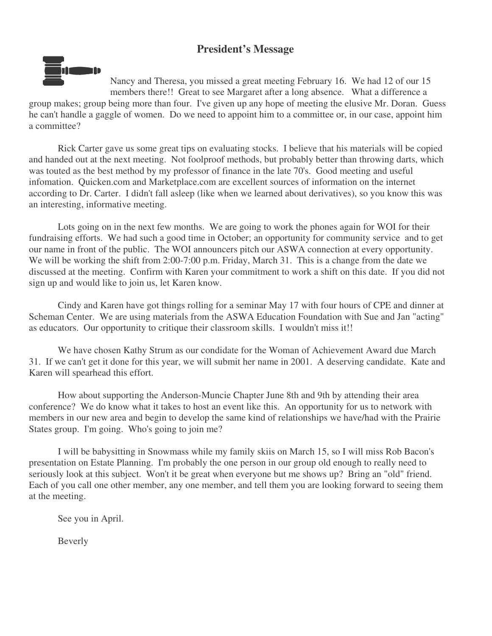# **President's Message**



Nancy and Theresa, you missed a great meeting February 16. We had 12 of our 15 members there!! Great to see Margaret after a long absence. What a difference a group makes; group being more than four. I've given up any hope of meeting the elusive Mr. Doran. Guess he can't handle a gaggle of women. Do we need to appoint him to a committee or, in our case, appoint him a committee?

Rick Carter gave us some great tips on evaluating stocks. I believe that his materials will be copied and handed out at the next meeting. Not foolproof methods, but probably better than throwing darts, which was touted as the best method by my professor of finance in the late 70's. Good meeting and useful infomation. Quicken.com and Marketplace.com are excellent sources of information on the internet according to Dr. Carter. I didn't fall asleep (like when we learned about derivatives), so you know this was an interesting, informative meeting.

Lots going on in the next few months. We are going to work the phones again for WOI for their fundraising efforts. We had such a good time in October; an opportunity for community service and to get our name in front of the public. The WOI announcers pitch our ASWA connection at every opportunity. We will be working the shift from 2:00-7:00 p.m. Friday, March 31. This is a change from the date we discussed at the meeting. Confirm with Karen your commitment to work a shift on this date. If you did not sign up and would like to join us, let Karen know.

Cindy and Karen have got things rolling for a seminar May 17 with four hours of CPE and dinner at Scheman Center. We are using materials from the ASWA Education Foundation with Sue and Jan "acting" as educators. Our opportunity to critique their classroom skills. I wouldn't miss it!!

We have chosen Kathy Strum as our condidate for the Woman of Achievement Award due March 31. If we can't get it done for this year, we will submit her name in 2001. A deserving candidate. Kate and Karen will spearhead this effort.

How about supporting the Anderson-Muncie Chapter June 8th and 9th by attending their area conference? We do know what it takes to host an event like this. An opportunity for us to network with members in our new area and begin to develop the same kind of relationships we have/had with the Prairie States group. I'm going. Who's going to join me?

I will be babysitting in Snowmass while my family skiis on March 15, so I will miss Rob Bacon's presentation on Estate Planning. I'm probably the one person in our group old enough to really need to seriously look at this subject. Won't it be great when everyone but me shows up? Bring an "old" friend. Each of you call one other member, any one member, and tell them you are looking forward to seeing them at the meeting.

See you in April.

Beverly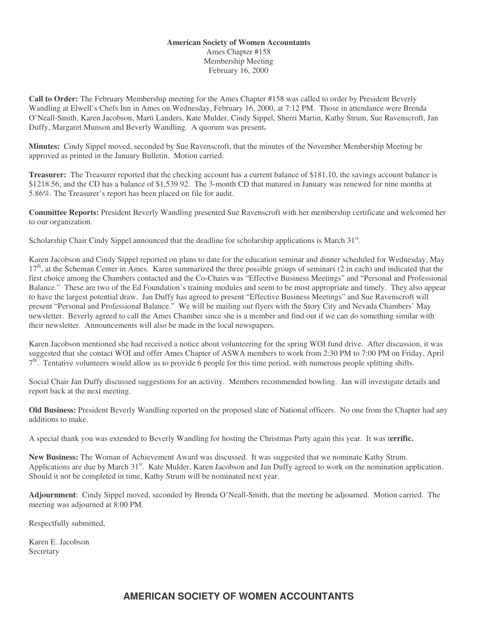#### **American Society of Women Accountants** Ames Chapter #158 Membership Meeting February 16, 2000

**Call to Order:** The February Membership meeting for the Ames Chapter #158 was called to order by President Beverly Wandling at Elwell's Chefs Inn in Ames on Wednesday, February 16, 2000, at 7:12 PM. Those in attendance were Brenda O'Neall-Smith, Karen Jacobson, Marti Landers, Kate Mulder, Cindy Sippel, Sherri Martin, Kathy Strum, Sue Ravenscroft, Jan Duffy, Margaret Munson and Beverly Wandling. A quorum was present**.**

**Minutes:** Cindy Sippel moved, seconded by Sue Ravenscroft, that the minutes of the November Membership Meeting be approved as printed in the January Bulletin. Motion carried.

**Treasurer:** The Treasurer reported that the checking account has a current balance of \$181.10, the savings account balance is \$1218.56, and the CD has a balance of \$1,539.92. The 3-month CD that matured in January was renewed for nine months at 5.86%. The Treasurer's report has been placed on file for audit.

**Committee Reports:** President Beverly Wandling presented Sue Ravenscroft with her membership certificate and welcomed her to our organization.

Scholarship Chair Cindy Sippel announced that the deadline for scholarship applications is March 31<sup>st</sup>.

Karen Jacobson and Cindy Sippel reported on plans to date for the education seminar and dinner scheduled for Wednesday, May 17<sup>th</sup>, at the Scheman Center in Ames. Karen summarized the three possible groups of seminars (2 in each) and indicated that the first choice among the Chambers contacted and the Co-Chairs was "Effective Business Meetings" and "Personal and Professional Balance." These are two of the Ed Foundation's training modules and seem to be most appropriate and timely. They also appear to have the largest potential draw. Jan Duffy has agreed to present "Effective Business Meetings" and Sue Ravenscroft will present "Personal and Professional Balance." We will be mailing out flyers with the Story City and Nevada Chambers' May newsletter. Beverly agreed to call the Ames Chamber since she is a member and find out if we can do something similar with their newsletter. Announcements will also be made in the local newspapers.

Karen Jacobson mentioned she had received a notice about volunteering for the spring WOI fund drive. After discussion, it was suggested that she contact WOI and offer Ames Chapter of ASWA members to work from 2:30 PM to 7:00 PM on Friday, April  $7<sup>th</sup>$ . Tentative volunteers would allow us to provide 6 people for this time period, with numerous people splitting shifts.

Social Chair Jan Duffy discussed suggestions for an activity. Members recommended bowling. Jan will investigate details and report back at the next meeting.

**Old Business:** President Beverly Wandling reported on the proposed slate of National officers. No one from the Chapter had any additions to make.

A special thank you was extended to Beverly Wandling for hosting the Christmas Party again this year. It was t**errific.**

**New Business:** The Woman of Achievement Award was discussed. It was suggested that we nominate Kathy Strum. Applications are due by March 31<sup>st</sup>. Kate Mulder, Karen Jacobson and Jan Duffy agreed to work on the nomination application. Should it not be completed in time, Kathy Strum will be nominated next year.

**Adjournment**: Cindy Sippel moved, seconded by Brenda O'Neall-Smith, that the meeting be adjourned. Motion carried. The meeting was adjourned at 8:00 PM.

Respectfully submitted,

Karen E. Jacobson Secretary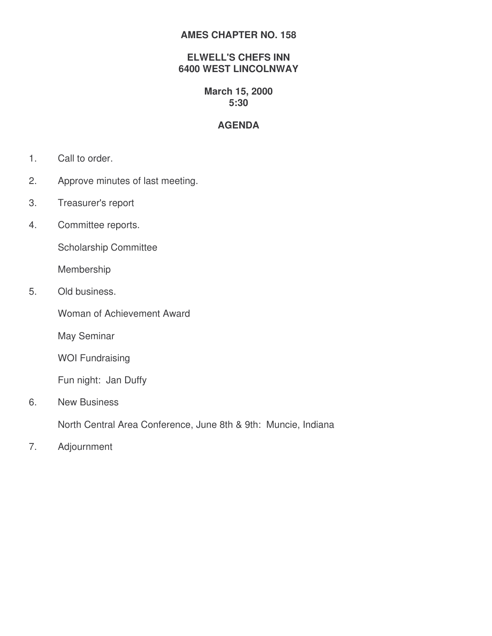#### **AMES CHAPTER NO. 158**

#### **ELWELL'S CHEFS INN 6400 WEST LINCOLNWAY**

### **March 15, 2000 5:30**

# **AGENDA**

- 1. Call to order.
- 2. Approve minutes of last meeting.
- 3. Treasurer's report
- 4. Committee reports.

Scholarship Committee

Membership

5. Old business.

Woman of Achievement Award

May Seminar

WOI Fundraising

Fun night: Jan Duffy

6. New Business

North Central Area Conference, June 8th & 9th: Muncie, Indiana

7. Adjournment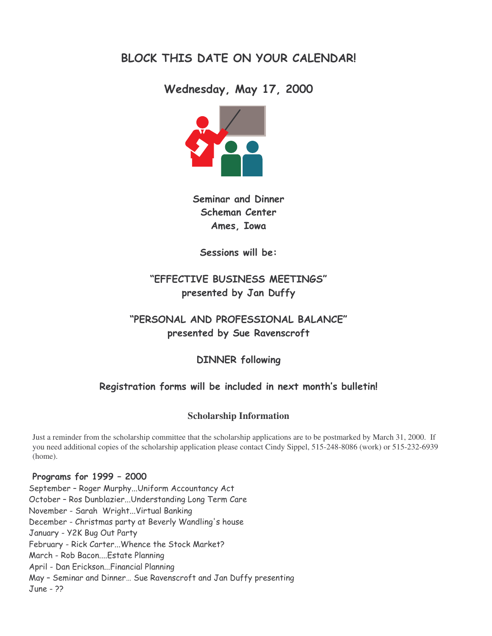# BLOCK THIS DATE ON YOUR CALENDAR!

Wednesday, May 17, 2000



Seminar and Dinner Scheman Center Ames. Iowa

Sessions will be:

# "EFFECTIVE BUSINESS MEETINGS" presented by Jan Duffy

# "PERSONAL AND PROFESSIONAL BALANCE" presented by Sue Ravenscroft

**DINNER following** 

# Registration forms will be included in next month's bulletin!

### **Scholarship Information**

Just a reminder from the scholarship committee that the scholarship applications are to be postmarked by March 31, 2000. If you need additional copies of the scholarship application please contact Cindy Sippel, 515-248-8086 (work) or 515-232-6939 (home).

#### Programs for 1999 - 2000

September – Roger Murphy...Uniform Accountancy Act October – Ros Dunblazier...Understanding Long Term Care November - Sarah Wright…Virtual Banking December - Christmas party at Beverly Wandling's house January - Y2K Bug Out Party February - Rick Carter...Whence the Stock Market? March - Rob Bacon....Estate Planning April - Dan Erickson... Financial Planning May – Seminar and Dinner… Sue Ravenscroft and Jan Duffy presenting June - ??